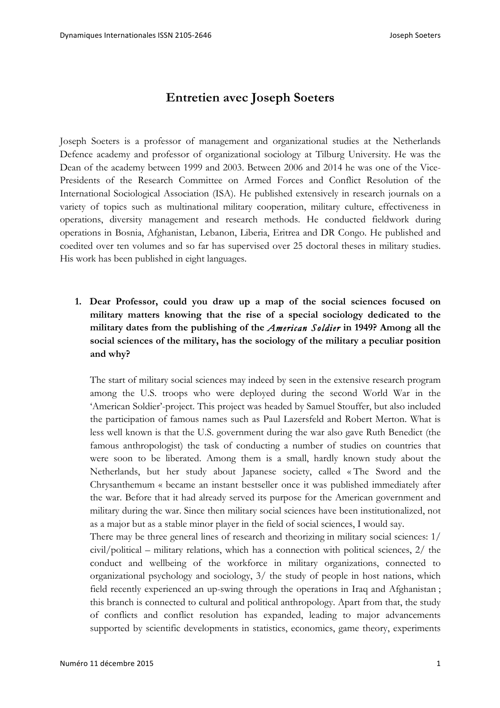## **Entretien avec Joseph Soeters**

Joseph Soeters is a professor of management and organizational studies at the Netherlands Defence academy and professor of organizational sociology at Tilburg University. He was the Dean of the academy between 1999 and 2003. Between 2006 and 2014 he was one of the Vice-Presidents of the Research Committee on Armed Forces and Conflict Resolution of the International Sociological Association (ISA). He published extensively in research journals on a variety of topics such as multinational military cooperation, military culture, effectiveness in operations, diversity management and research methods. He conducted fieldwork during operations in Bosnia, Afghanistan, Lebanon, Liberia, Eritrea and DR Congo. He published and coedited over ten volumes and so far has supervised over 25 doctoral theses in military studies. His work has been published in eight languages.

**1. Dear Professor, could you draw up a map of the social sciences focused on military matters knowing that the rise of a special sociology dedicated to the military dates from the publishing of the** *American Soldier* **in 1949? Among all the social sciences of the military, has the sociology of the military a peculiar position and why?** 

The start of military social sciences may indeed by seen in the extensive research program among the U.S. troops who were deployed during the second World War in the 'American Soldier'-project. This project was headed by Samuel Stouffer, but also included the participation of famous names such as Paul Lazersfeld and Robert Merton. What is less well known is that the U.S. government during the war also gave Ruth Benedict (the famous anthropologist) the task of conducting a number of studies on countries that were soon to be liberated. Among them is a small, hardly known study about the Netherlands, but her study about Japanese society, called « The Sword and the Chrysanthemum « became an instant bestseller once it was published immediately after the war. Before that it had already served its purpose for the American government and military during the war. Since then military social sciences have been institutionalized, not as a major but as a stable minor player in the field of social sciences, I would say.

There may be three general lines of research and theorizing in military social sciences: 1/ civil/political – military relations, which has a connection with political sciences, 2/ the conduct and wellbeing of the workforce in military organizations, connected to organizational psychology and sociology, 3/ the study of people in host nations, which field recently experienced an up-swing through the operations in Iraq and Afghanistan ; this branch is connected to cultural and political anthropology. Apart from that, the study of conflicts and conflict resolution has expanded, leading to major advancements supported by scientific developments in statistics, economics, game theory, experiments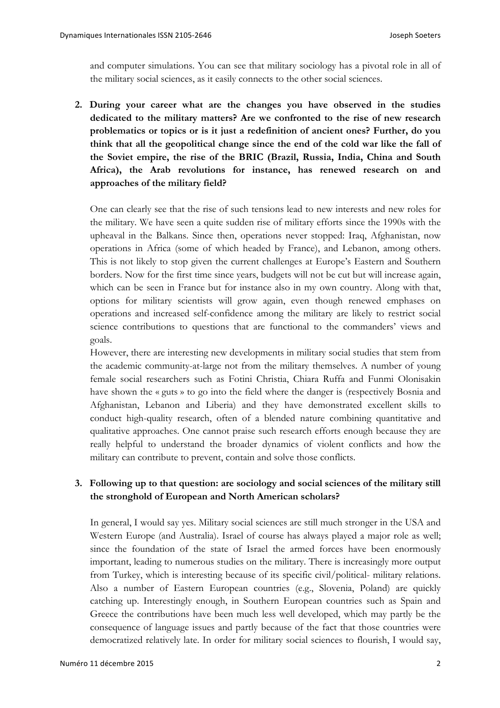and computer simulations. You can see that military sociology has a pivotal role in all of the military social sciences, as it easily connects to the other social sciences.

**2. During your career what are the changes you have observed in the studies dedicated to the military matters? Are we confronted to the rise of new research problematics or topics or is it just a redefinition of ancient ones? Further, do you think that all the geopolitical change since the end of the cold war like the fall of the Soviet empire, the rise of the BRIC (Brazil, Russia, India, China and South Africa), the Arab revolutions for instance, has renewed research on and approaches of the military field?** 

One can clearly see that the rise of such tensions lead to new interests and new roles for the military. We have seen a quite sudden rise of military efforts since the 1990s with the upheaval in the Balkans. Since then, operations never stopped: Iraq, Afghanistan, now operations in Africa (some of which headed by France), and Lebanon, among others. This is not likely to stop given the current challenges at Europe's Eastern and Southern borders. Now for the first time since years, budgets will not be cut but will increase again, which can be seen in France but for instance also in my own country. Along with that, options for military scientists will grow again, even though renewed emphases on operations and increased self-confidence among the military are likely to restrict social science contributions to questions that are functional to the commanders' views and goals.

However, there are interesting new developments in military social studies that stem from the academic community-at-large not from the military themselves. A number of young female social researchers such as Fotini Christia, Chiara Ruffa and Funmi Olonisakin have shown the « guts » to go into the field where the danger is (respectively Bosnia and Afghanistan, Lebanon and Liberia) and they have demonstrated excellent skills to conduct high-quality research, often of a blended nature combining quantitative and qualitative approaches. One cannot praise such research efforts enough because they are really helpful to understand the broader dynamics of violent conflicts and how the military can contribute to prevent, contain and solve those conflicts.

## **3. Following up to that question: are sociology and social sciences of the military still the stronghold of European and North American scholars?**

In general, I would say yes. Military social sciences are still much stronger in the USA and Western Europe (and Australia). Israel of course has always played a major role as well; since the foundation of the state of Israel the armed forces have been enormously important, leading to numerous studies on the military. There is increasingly more output from Turkey, which is interesting because of its specific civil/political- military relations. Also a number of Eastern European countries (e.g., Slovenia, Poland) are quickly catching up. Interestingly enough, in Southern European countries such as Spain and Greece the contributions have been much less well developed, which may partly be the consequence of language issues and partly because of the fact that those countries were democratized relatively late. In order for military social sciences to flourish, I would say,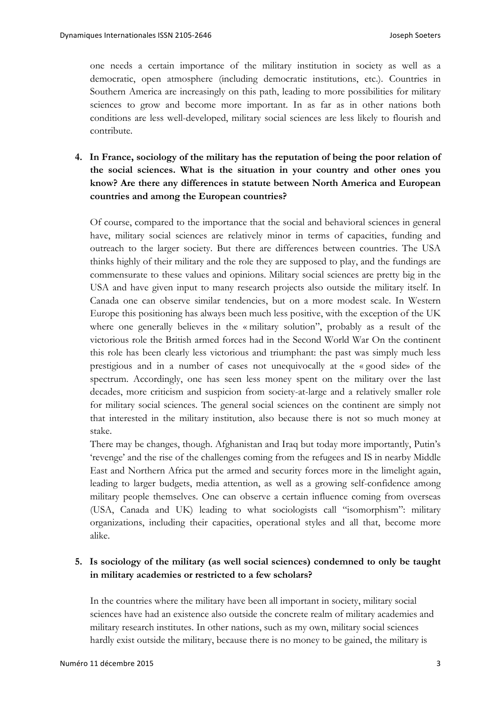one needs a certain importance of the military institution in society as well as a democratic, open atmosphere (including democratic institutions, etc.). Countries in Southern America are increasingly on this path, leading to more possibilities for military sciences to grow and become more important. In as far as in other nations both conditions are less well-developed, military social sciences are less likely to flourish and contribute.

**4. In France, sociology of the military has the reputation of being the poor relation of the social sciences. What is the situation in your country and other ones you know? Are there any differences in statute between North America and European countries and among the European countries?** 

Of course, compared to the importance that the social and behavioral sciences in general have, military social sciences are relatively minor in terms of capacities, funding and outreach to the larger society. But there are differences between countries. The USA thinks highly of their military and the role they are supposed to play, and the fundings are commensurate to these values and opinions. Military social sciences are pretty big in the USA and have given input to many research projects also outside the military itself. In Canada one can observe similar tendencies, but on a more modest scale. In Western Europe this positioning has always been much less positive, with the exception of the UK where one generally believes in the « military solution", probably as a result of the victorious role the British armed forces had in the Second World War On the continent this role has been clearly less victorious and triumphant: the past was simply much less prestigious and in a number of cases not unequivocally at the « good side» of the spectrum. Accordingly, one has seen less money spent on the military over the last decades, more criticism and suspicion from society-at-large and a relatively smaller role for military social sciences. The general social sciences on the continent are simply not that interested in the military institution, also because there is not so much money at stake.

There may be changes, though. Afghanistan and Iraq but today more importantly, Putin's 'revenge' and the rise of the challenges coming from the refugees and IS in nearby Middle East and Northern Africa put the armed and security forces more in the limelight again, leading to larger budgets, media attention, as well as a growing self-confidence among military people themselves. One can observe a certain influence coming from overseas (USA, Canada and UK) leading to what sociologists call "isomorphism": military organizations, including their capacities, operational styles and all that, become more alike.

## **5. Is sociology of the military (as well social sciences) condemned to only be taught in military academies or restricted to a few scholars?**

In the countries where the military have been all important in society, military social sciences have had an existence also outside the concrete realm of military academies and military research institutes. In other nations, such as my own, military social sciences hardly exist outside the military, because there is no money to be gained, the military is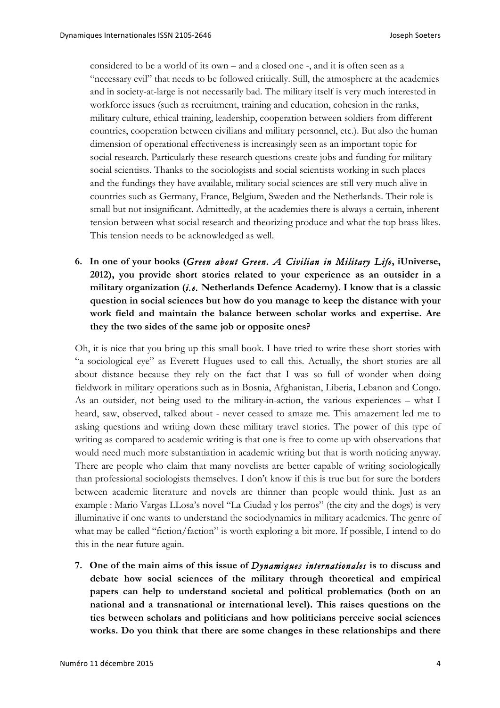considered to be a world of its own – and a closed one -, and it is often seen as a "necessary evil" that needs to be followed critically. Still, the atmosphere at the academies and in society-at-large is not necessarily bad. The military itself is very much interested in workforce issues (such as recruitment, training and education, cohesion in the ranks, military culture, ethical training, leadership, cooperation between soldiers from different countries, cooperation between civilians and military personnel, etc.). But also the human dimension of operational effectiveness is increasingly seen as an important topic for social research. Particularly these research questions create jobs and funding for military social scientists. Thanks to the sociologists and social scientists working in such places and the fundings they have available, military social sciences are still very much alive in countries such as Germany, France, Belgium, Sweden and the Netherlands. Their role is small but not insignificant. Admittedly, at the academies there is always a certain, inherent tension between what social research and theorizing produce and what the top brass likes. This tension needs to be acknowledged as well.

**6. In one of your books (***Green about Green. A Civilian in Military Life***, iUniverse, 2012), you provide short stories related to your experience as an outsider in a military organization (***i.e.* **Netherlands Defence Academy). I know that is a classic question in social sciences but how do you manage to keep the distance with your work field and maintain the balance between scholar works and expertise. Are they the two sides of the same job or opposite ones?** 

Oh, it is nice that you bring up this small book. I have tried to write these short stories with "a sociological eye" as Everett Hugues used to call this. Actually, the short stories are all about distance because they rely on the fact that I was so full of wonder when doing fieldwork in military operations such as in Bosnia, Afghanistan, Liberia, Lebanon and Congo. As an outsider, not being used to the military-in-action, the various experiences – what I heard, saw, observed, talked about - never ceased to amaze me. This amazement led me to asking questions and writing down these military travel stories. The power of this type of writing as compared to academic writing is that one is free to come up with observations that would need much more substantiation in academic writing but that is worth noticing anyway. There are people who claim that many novelists are better capable of writing sociologically than professional sociologists themselves. I don't know if this is true but for sure the borders between academic literature and novels are thinner than people would think. Just as an example : Mario Vargas LLosa's novel "La Ciudad y los perros" (the city and the dogs) is very illuminative if one wants to understand the sociodynamics in military academies. The genre of what may be called "fiction/faction" is worth exploring a bit more. If possible, I intend to do this in the near future again.

**7. One of the main aims of this issue of** *Dynamiques internationales* **is to discuss and debate how social sciences of the military through theoretical and empirical papers can help to understand societal and political problematics (both on an national and a transnational or international level). This raises questions on the ties between scholars and politicians and how politicians perceive social sciences works. Do you think that there are some changes in these relationships and there**